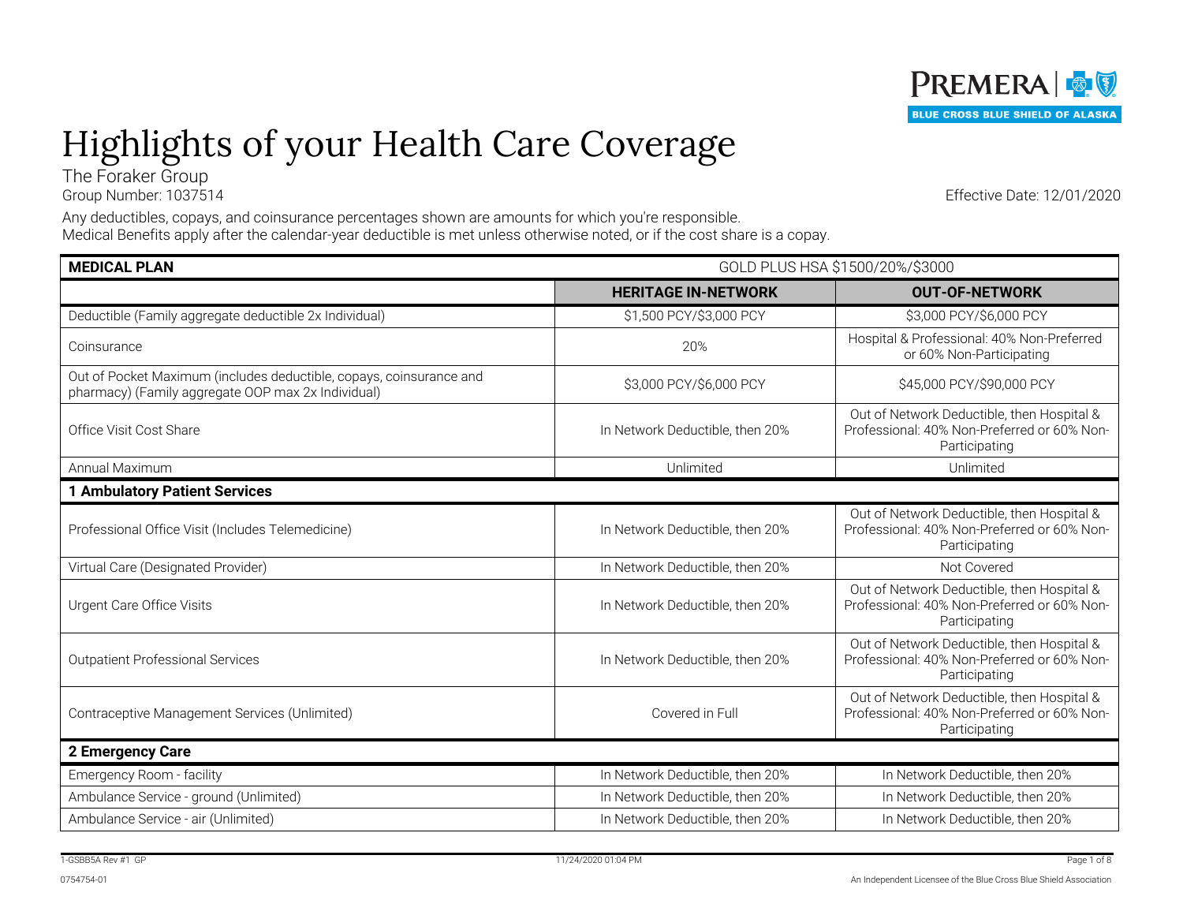

# Highlights of your Health Care Coverage

The Foraker Group

Group Number: 1037514

Any deductibles, copays, and coinsurance percentages shown are amounts for which you're responsible. Medical Benefits apply after the calendar-year deductible is met unless otherwise noted, or if the cost share is a copay.

| <b>MEDICAL PLAN</b>                                                                                                       | GOLD PLUS HSA \$1500/20%/\$3000 |                                                                                                            |
|---------------------------------------------------------------------------------------------------------------------------|---------------------------------|------------------------------------------------------------------------------------------------------------|
|                                                                                                                           | <b>HERITAGE IN-NETWORK</b>      | <b>OUT-OF-NETWORK</b>                                                                                      |
| Deductible (Family aggregate deductible 2x Individual)                                                                    | \$1,500 PCY/\$3,000 PCY         | \$3,000 PCY/\$6,000 PCY                                                                                    |
| Coinsurance                                                                                                               | 20%                             | Hospital & Professional: 40% Non-Preferred<br>or 60% Non-Participating                                     |
| Out of Pocket Maximum (includes deductible, copays, coinsurance and<br>pharmacy) (Family aggregate OOP max 2x Individual) | \$3,000 PCY/\$6,000 PCY         | \$45,000 PCY/\$90,000 PCY                                                                                  |
| Office Visit Cost Share                                                                                                   | In Network Deductible, then 20% | Out of Network Deductible, then Hospital &<br>Professional: 40% Non-Preferred or 60% Non-<br>Participating |
| Annual Maximum                                                                                                            | Unlimited                       | Unlimited                                                                                                  |
| <b>1 Ambulatory Patient Services</b>                                                                                      |                                 |                                                                                                            |
| Professional Office Visit (Includes Telemedicine)                                                                         | In Network Deductible, then 20% | Out of Network Deductible, then Hospital &<br>Professional: 40% Non-Preferred or 60% Non-<br>Participating |
| Virtual Care (Designated Provider)                                                                                        | In Network Deductible, then 20% | Not Covered                                                                                                |
| Urgent Care Office Visits                                                                                                 | In Network Deductible, then 20% | Out of Network Deductible, then Hospital &<br>Professional: 40% Non-Preferred or 60% Non-<br>Participating |
| <b>Outpatient Professional Services</b>                                                                                   | In Network Deductible, then 20% | Out of Network Deductible, then Hospital &<br>Professional: 40% Non-Preferred or 60% Non-<br>Participating |
| Contraceptive Management Services (Unlimited)                                                                             | Covered in Full                 | Out of Network Deductible, then Hospital &<br>Professional: 40% Non-Preferred or 60% Non-<br>Participating |
| 2 Emergency Care                                                                                                          |                                 |                                                                                                            |
| Emergency Room - facility                                                                                                 | In Network Deductible, then 20% | In Network Deductible, then 20%                                                                            |
| Ambulance Service - ground (Unlimited)                                                                                    | In Network Deductible, then 20% | In Network Deductible, then 20%                                                                            |
| Ambulance Service - air (Unlimited)                                                                                       | In Network Deductible, then 20% | In Network Deductible, then 20%                                                                            |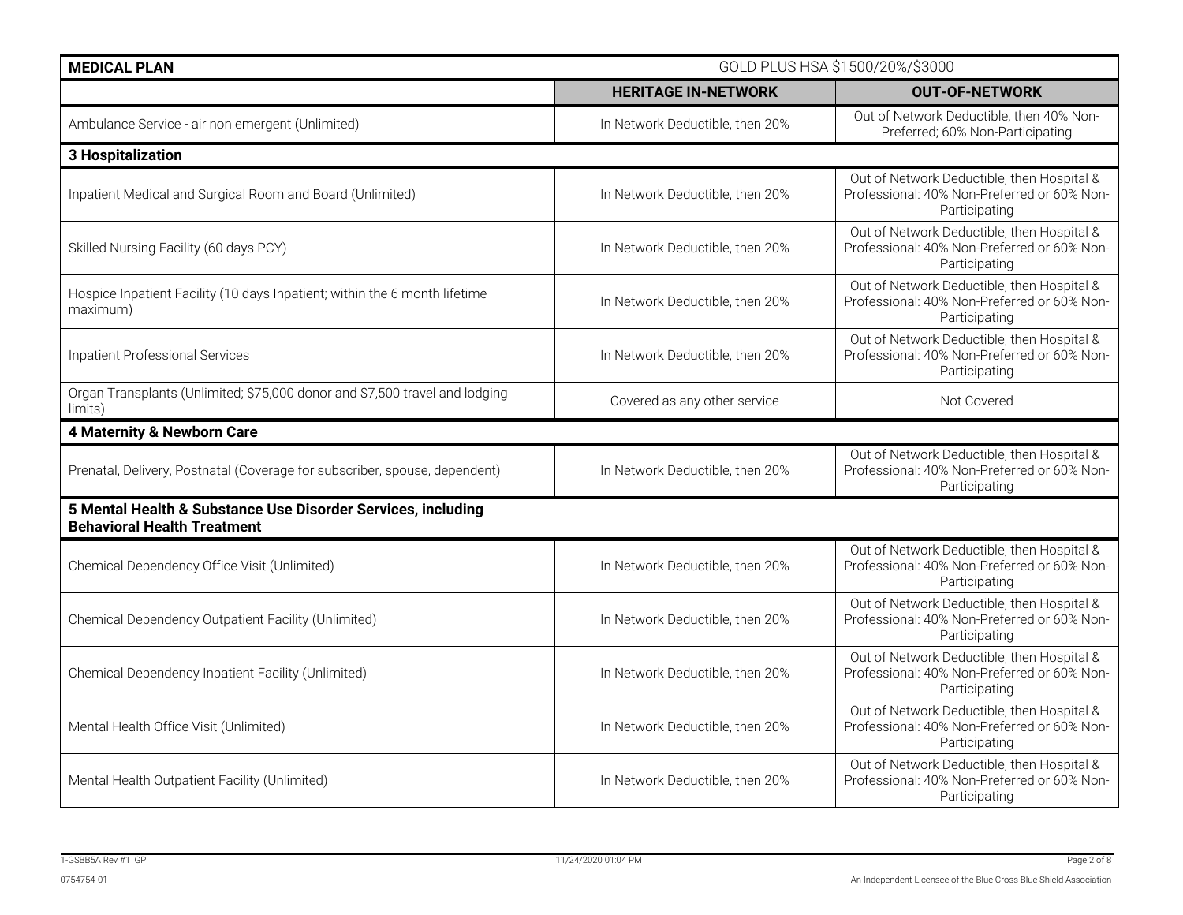| <b>MEDICAL PLAN</b>                                                                                | GOLD PLUS HSA \$1500/20%/\$3000 |                                                                                                            |
|----------------------------------------------------------------------------------------------------|---------------------------------|------------------------------------------------------------------------------------------------------------|
|                                                                                                    | <b>HERITAGE IN-NETWORK</b>      | <b>OUT-OF-NETWORK</b>                                                                                      |
| Ambulance Service - air non emergent (Unlimited)                                                   | In Network Deductible, then 20% | Out of Network Deductible, then 40% Non-<br>Preferred; 60% Non-Participating                               |
| 3 Hospitalization                                                                                  |                                 |                                                                                                            |
| Inpatient Medical and Surgical Room and Board (Unlimited)                                          | In Network Deductible, then 20% | Out of Network Deductible, then Hospital &<br>Professional: 40% Non-Preferred or 60% Non-<br>Participating |
| Skilled Nursing Facility (60 days PCY)                                                             | In Network Deductible, then 20% | Out of Network Deductible, then Hospital &<br>Professional: 40% Non-Preferred or 60% Non-<br>Participating |
| Hospice Inpatient Facility (10 days Inpatient; within the 6 month lifetime<br>maximum)             | In Network Deductible, then 20% | Out of Network Deductible, then Hospital &<br>Professional: 40% Non-Preferred or 60% Non-<br>Participating |
| Inpatient Professional Services                                                                    | In Network Deductible, then 20% | Out of Network Deductible, then Hospital &<br>Professional: 40% Non-Preferred or 60% Non-<br>Participating |
| Organ Transplants (Unlimited; \$75,000 donor and \$7,500 travel and lodging<br>limits)             | Covered as any other service    | Not Covered                                                                                                |
| 4 Maternity & Newborn Care                                                                         |                                 |                                                                                                            |
| Prenatal, Delivery, Postnatal (Coverage for subscriber, spouse, dependent)                         | In Network Deductible, then 20% | Out of Network Deductible, then Hospital &<br>Professional: 40% Non-Preferred or 60% Non-<br>Participating |
| 5 Mental Health & Substance Use Disorder Services, including<br><b>Behavioral Health Treatment</b> |                                 |                                                                                                            |
| Chemical Dependency Office Visit (Unlimited)                                                       | In Network Deductible, then 20% | Out of Network Deductible, then Hospital &<br>Professional: 40% Non-Preferred or 60% Non-<br>Participating |
| Chemical Dependency Outpatient Facility (Unlimited)                                                | In Network Deductible, then 20% | Out of Network Deductible, then Hospital &<br>Professional: 40% Non-Preferred or 60% Non-<br>Participating |
| Chemical Dependency Inpatient Facility (Unlimited)                                                 | In Network Deductible, then 20% | Out of Network Deductible, then Hospital &<br>Professional: 40% Non-Preferred or 60% Non-<br>Participating |
| Mental Health Office Visit (Unlimited)                                                             | In Network Deductible, then 20% | Out of Network Deductible, then Hospital &<br>Professional: 40% Non-Preferred or 60% Non-<br>Participating |
| Mental Health Outpatient Facility (Unlimited)                                                      | In Network Deductible, then 20% | Out of Network Deductible, then Hospital &<br>Professional: 40% Non-Preferred or 60% Non-<br>Participating |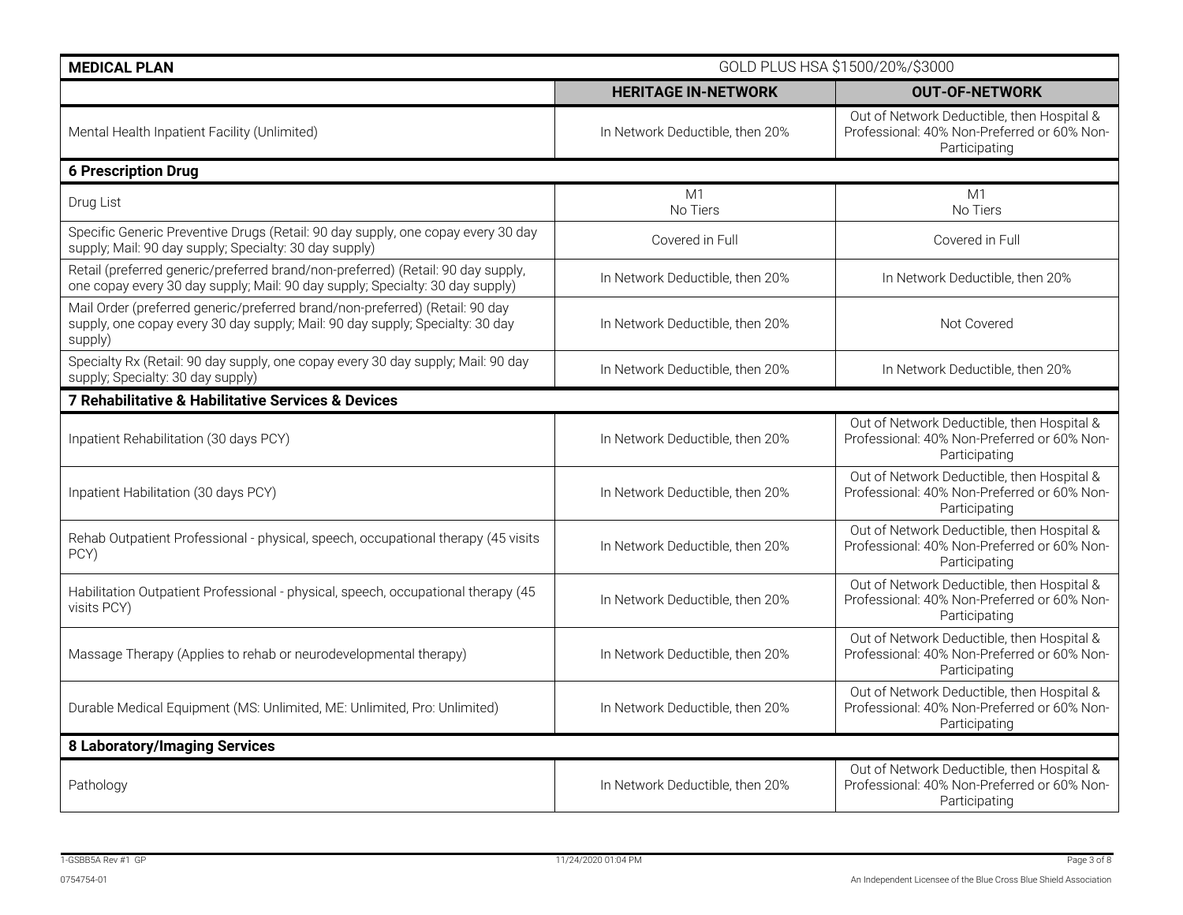| <b>MEDICAL PLAN</b>                                                                                                                                                      | GOLD PLUS HSA \$1500/20%/\$3000 |                                                                                                            |
|--------------------------------------------------------------------------------------------------------------------------------------------------------------------------|---------------------------------|------------------------------------------------------------------------------------------------------------|
|                                                                                                                                                                          | <b>HERITAGE IN-NETWORK</b>      | <b>OUT-OF-NETWORK</b>                                                                                      |
| Mental Health Inpatient Facility (Unlimited)                                                                                                                             | In Network Deductible, then 20% | Out of Network Deductible, then Hospital &<br>Professional: 40% Non-Preferred or 60% Non-<br>Participating |
| <b>6 Prescription Drug</b>                                                                                                                                               |                                 |                                                                                                            |
| Drug List                                                                                                                                                                | M1<br>No Tiers                  | M1<br>No Tiers                                                                                             |
| Specific Generic Preventive Drugs (Retail: 90 day supply, one copay every 30 day<br>supply; Mail: 90 day supply; Specialty: 30 day supply)                               | Covered in Full                 | Covered in Full                                                                                            |
| Retail (preferred generic/preferred brand/non-preferred) (Retail: 90 day supply,<br>one copay every 30 day supply; Mail: 90 day supply; Specialty: 30 day supply)        | In Network Deductible, then 20% | In Network Deductible, then 20%                                                                            |
| Mail Order (preferred generic/preferred brand/non-preferred) (Retail: 90 day<br>supply, one copay every 30 day supply; Mail: 90 day supply; Specialty: 30 day<br>supply) | In Network Deductible, then 20% | Not Covered                                                                                                |
| Specialty Rx (Retail: 90 day supply, one copay every 30 day supply; Mail: 90 day<br>supply; Specialty: 30 day supply)                                                    | In Network Deductible, then 20% | In Network Deductible, then 20%                                                                            |
| 7 Rehabilitative & Habilitative Services & Devices                                                                                                                       |                                 |                                                                                                            |
| Inpatient Rehabilitation (30 days PCY)                                                                                                                                   | In Network Deductible, then 20% | Out of Network Deductible, then Hospital &<br>Professional: 40% Non-Preferred or 60% Non-<br>Participating |
| Inpatient Habilitation (30 days PCY)                                                                                                                                     | In Network Deductible, then 20% | Out of Network Deductible, then Hospital &<br>Professional: 40% Non-Preferred or 60% Non-<br>Participating |
| Rehab Outpatient Professional - physical, speech, occupational therapy (45 visits<br>PCY)                                                                                | In Network Deductible, then 20% | Out of Network Deductible, then Hospital &<br>Professional: 40% Non-Preferred or 60% Non-<br>Participating |
| Habilitation Outpatient Professional - physical, speech, occupational therapy (45<br>visits PCY)                                                                         | In Network Deductible, then 20% | Out of Network Deductible, then Hospital &<br>Professional: 40% Non-Preferred or 60% Non-<br>Participating |
| Massage Therapy (Applies to rehab or neurodevelopmental therapy)                                                                                                         | In Network Deductible, then 20% | Out of Network Deductible, then Hospital &<br>Professional: 40% Non-Preferred or 60% Non-<br>Participating |
| Durable Medical Equipment (MS: Unlimited, ME: Unlimited, Pro: Unlimited)                                                                                                 | In Network Deductible, then 20% | Out of Network Deductible, then Hospital &<br>Professional: 40% Non-Preferred or 60% Non-<br>Participating |
| <b>8 Laboratory/Imaging Services</b>                                                                                                                                     |                                 |                                                                                                            |
| Pathology                                                                                                                                                                | In Network Deductible, then 20% | Out of Network Deductible, then Hospital &<br>Professional: 40% Non-Preferred or 60% Non-<br>Participating |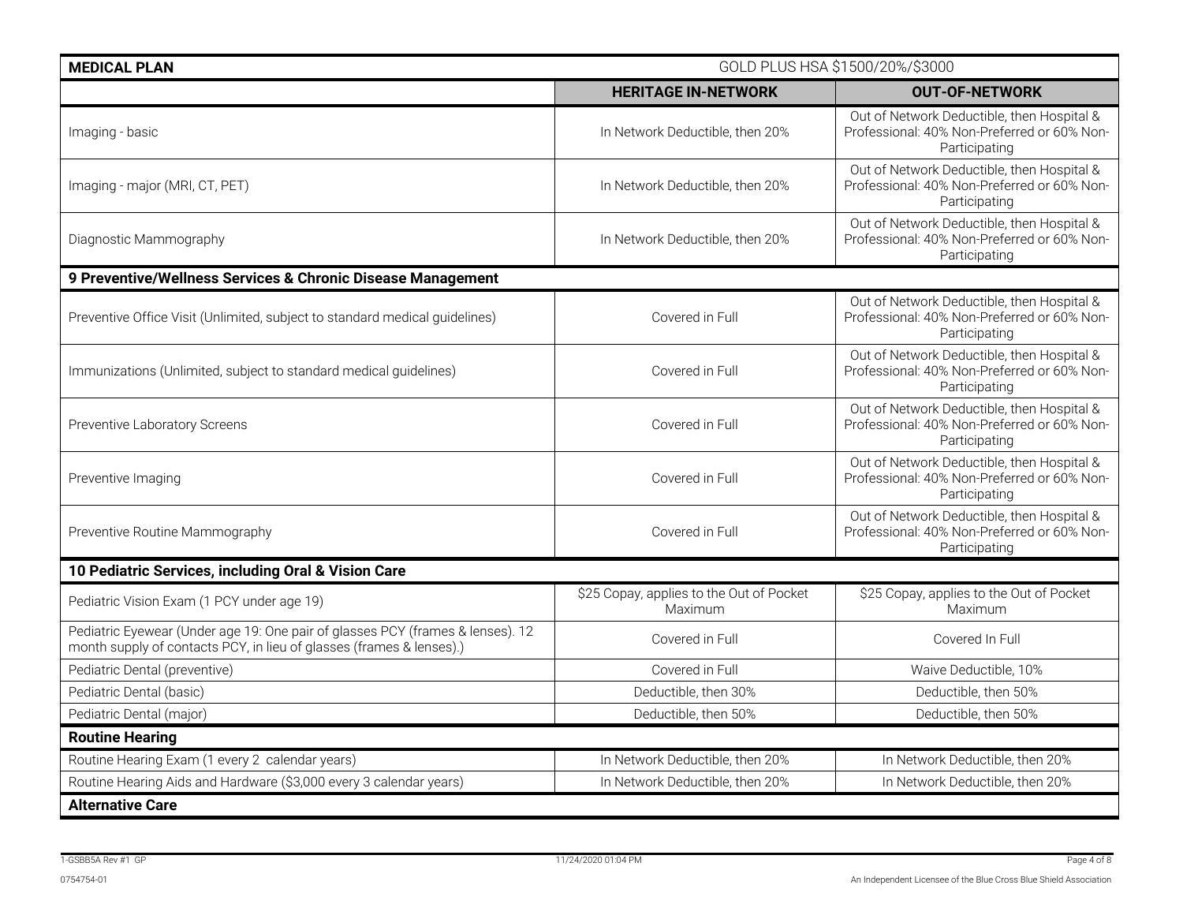| <b>MEDICAL PLAN</b>                                                                                                                                    | GOLD PLUS HSA \$1500/20%/\$3000                     |                                                                                                            |
|--------------------------------------------------------------------------------------------------------------------------------------------------------|-----------------------------------------------------|------------------------------------------------------------------------------------------------------------|
|                                                                                                                                                        | <b>HERITAGE IN-NETWORK</b>                          | <b>OUT-OF-NETWORK</b>                                                                                      |
| Imaging - basic                                                                                                                                        | In Network Deductible, then 20%                     | Out of Network Deductible, then Hospital &<br>Professional: 40% Non-Preferred or 60% Non-<br>Participating |
| Imaging - major (MRI, CT, PET)                                                                                                                         | In Network Deductible, then 20%                     | Out of Network Deductible, then Hospital &<br>Professional: 40% Non-Preferred or 60% Non-<br>Participating |
| Diagnostic Mammography                                                                                                                                 | In Network Deductible, then 20%                     | Out of Network Deductible, then Hospital &<br>Professional: 40% Non-Preferred or 60% Non-<br>Participating |
| 9 Preventive/Wellness Services & Chronic Disease Management                                                                                            |                                                     |                                                                                                            |
| Preventive Office Visit (Unlimited, subject to standard medical guidelines)                                                                            | Covered in Full                                     | Out of Network Deductible, then Hospital &<br>Professional: 40% Non-Preferred or 60% Non-<br>Participating |
| Immunizations (Unlimited, subject to standard medical guidelines)                                                                                      | Covered in Full                                     | Out of Network Deductible, then Hospital &<br>Professional: 40% Non-Preferred or 60% Non-<br>Participating |
| Preventive Laboratory Screens                                                                                                                          | Covered in Full                                     | Out of Network Deductible, then Hospital &<br>Professional: 40% Non-Preferred or 60% Non-<br>Participating |
| Preventive Imaging                                                                                                                                     | Covered in Full                                     | Out of Network Deductible, then Hospital &<br>Professional: 40% Non-Preferred or 60% Non-<br>Participating |
| Preventive Routine Mammography                                                                                                                         | Covered in Full                                     | Out of Network Deductible, then Hospital &<br>Professional: 40% Non-Preferred or 60% Non-<br>Participating |
| 10 Pediatric Services, including Oral & Vision Care                                                                                                    |                                                     |                                                                                                            |
| Pediatric Vision Exam (1 PCY under age 19)                                                                                                             | \$25 Copay, applies to the Out of Pocket<br>Maximum | \$25 Copay, applies to the Out of Pocket<br>Maximum                                                        |
| Pediatric Eyewear (Under age 19: One pair of glasses PCY (frames & lenses). 12<br>month supply of contacts PCY, in lieu of glasses (frames & lenses).) | Covered in Full                                     | Covered In Full                                                                                            |
| Pediatric Dental (preventive)                                                                                                                          | Covered in Full                                     | Waive Deductible, 10%                                                                                      |
| Pediatric Dental (basic)                                                                                                                               | Deductible, then 30%                                | Deductible, then 50%                                                                                       |
| Pediatric Dental (major)                                                                                                                               | Deductible, then 50%                                | Deductible, then 50%                                                                                       |
| <b>Routine Hearing</b>                                                                                                                                 |                                                     |                                                                                                            |
| Routine Hearing Exam (1 every 2 calendar years)                                                                                                        | In Network Deductible, then 20%                     | In Network Deductible, then 20%                                                                            |
| Routine Hearing Aids and Hardware (\$3,000 every 3 calendar years)                                                                                     | In Network Deductible, then 20%                     | In Network Deductible, then 20%                                                                            |
| <b>Alternative Care</b>                                                                                                                                |                                                     |                                                                                                            |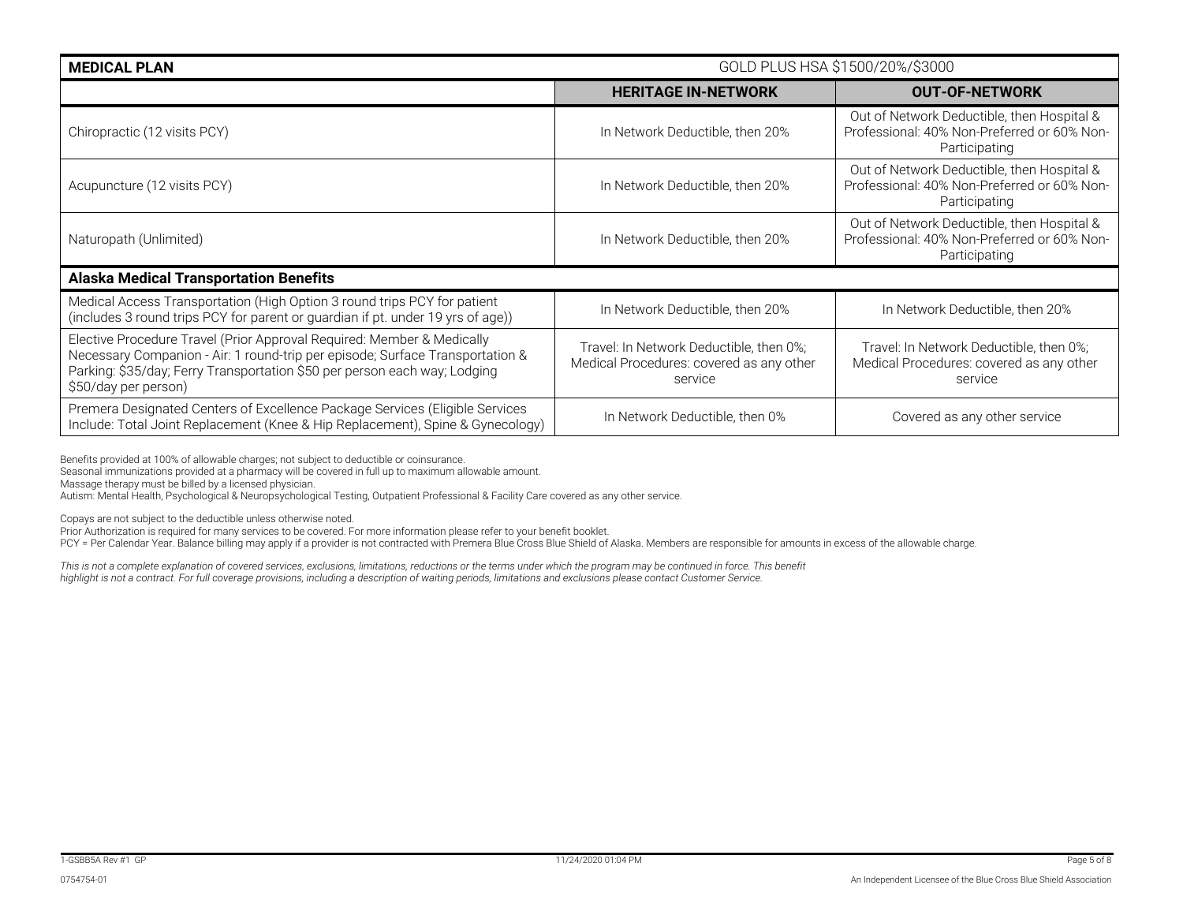| <b>MEDICAL PLAN</b>                                                                                                                                                                                                                                          | GOLD PLUS HSA \$1500/20%/\$3000                                                                |                                                                                                            |
|--------------------------------------------------------------------------------------------------------------------------------------------------------------------------------------------------------------------------------------------------------------|------------------------------------------------------------------------------------------------|------------------------------------------------------------------------------------------------------------|
|                                                                                                                                                                                                                                                              | <b>HERITAGE IN-NETWORK</b>                                                                     | <b>OUT-OF-NETWORK</b>                                                                                      |
| Chiropractic (12 visits PCY)                                                                                                                                                                                                                                 | In Network Deductible, then 20%                                                                | Out of Network Deductible, then Hospital &<br>Professional: 40% Non-Preferred or 60% Non-<br>Participating |
| Acupuncture (12 visits PCY)                                                                                                                                                                                                                                  | In Network Deductible, then 20%                                                                | Out of Network Deductible, then Hospital &<br>Professional: 40% Non-Preferred or 60% Non-<br>Participating |
| Naturopath (Unlimited)                                                                                                                                                                                                                                       | In Network Deductible, then 20%                                                                | Out of Network Deductible, then Hospital &<br>Professional: 40% Non-Preferred or 60% Non-<br>Participating |
| <b>Alaska Medical Transportation Benefits</b>                                                                                                                                                                                                                |                                                                                                |                                                                                                            |
| Medical Access Transportation (High Option 3 round trips PCY for patient<br>(includes 3 round trips PCY for parent or guardian if pt. under 19 yrs of age))                                                                                                  | In Network Deductible, then 20%                                                                | In Network Deductible, then 20%                                                                            |
| Elective Procedure Travel (Prior Approval Required: Member & Medically<br>Necessary Companion - Air: 1 round-trip per episode; Surface Transportation &<br>Parking: \$35/day; Ferry Transportation \$50 per person each way; Lodging<br>\$50/day per person) | Travel: In Network Deductible, then 0%;<br>Medical Procedures: covered as any other<br>service | Travel: In Network Deductible, then 0%;<br>Medical Procedures: covered as any other<br>service             |
| Premera Designated Centers of Excellence Package Services (Eligible Services<br>Include: Total Joint Replacement (Knee & Hip Replacement), Spine & Gynecology)                                                                                               | In Network Deductible, then 0%                                                                 | Covered as any other service                                                                               |

Benefits provided at 100% of allowable charges; not subject to deductible or coinsurance.

Seasonal immunizations provided at a pharmacy will be covered in full up to maximum allowable amount.

Massage therapy must be billed by a licensed physician.

Autism: Mental Health, Psychological & Neuropsychological Testing, Outpatient Professional & Facility Care covered as any other service.

Copays are not subject to the deductible unless otherwise noted.

Prior Authorization is required for many services to be covered. For more information please refer to your benefit booklet.

PCY = Per Calendar Year. Balance billing may apply if a provider is not contracted with Premera Blue Cross Blue Shield of Alaska. Members are responsible for amounts in excess of the allowable charge.

*This is not a complete explanation of covered services, exclusions, limitations, reductions or the terms under which the program may be continued in force. This benefit highlight is not a contract. For full coverage provisions, including a description of waiting periods, limitations and exclusions please contact Customer Service.*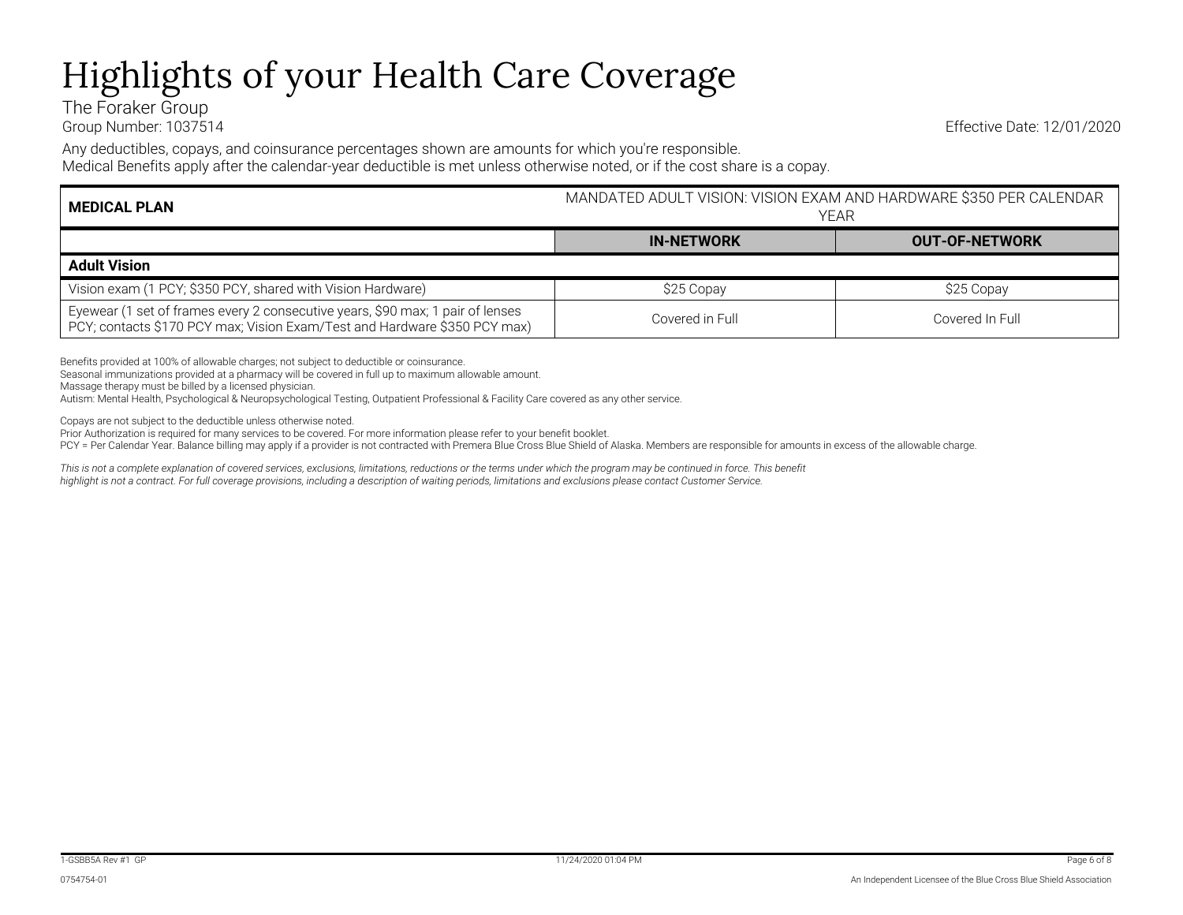## Highlights of your Health Care Coverage

The Foraker Group

Group Number: 1037514 Effective Date: 12/01/2020

Any deductibles, copays, and coinsurance percentages shown are amounts for which you're responsible.

Medical Benefits apply after the calendar-year deductible is met unless otherwise noted, or if the cost share is a copay.

| <b>MEDICAL PLAN</b>                                                                                                                                         | MANDATED ADULT VISION: VISION EXAM AND HARDWARE \$350 PER CALENDAR<br>YFAR |                       |
|-------------------------------------------------------------------------------------------------------------------------------------------------------------|----------------------------------------------------------------------------|-----------------------|
|                                                                                                                                                             | <b>IN-NETWORK</b>                                                          | <b>OUT-OF-NETWORK</b> |
| <b>Adult Vision</b>                                                                                                                                         |                                                                            |                       |
| Vision exam (1 PCY; \$350 PCY, shared with Vision Hardware)                                                                                                 | \$25 Copay                                                                 | \$25 Copay            |
| Eyewear (1 set of frames every 2 consecutive years, \$90 max; 1 pair of lenses<br>PCY; contacts \$170 PCY max; Vision Exam/Test and Hardware \$350 PCY max) | Covered in Full                                                            | Covered In Full       |

Benefits provided at 100% of allowable charges; not subject to deductible or coinsurance.

Seasonal immunizations provided at a pharmacy will be covered in full up to maximum allowable amount.

Massage therapy must be billed by a licensed physician.

Autism: Mental Health, Psychological & Neuropsychological Testing, Outpatient Professional & Facility Care covered as any other service.

Copays are not subject to the deductible unless otherwise noted.

Prior Authorization is required for many services to be covered. For more information please refer to your benefit booklet.

PCY = Per Calendar Year. Balance billing may apply if a provider is not contracted with Premera Blue Cross Blue Shield of Alaska. Members are responsible for amounts in excess of the allowable charge.

*This is not a complete explanation of covered services, exclusions, limitations, reductions or the terms under which the program may be continued in force. This benefit highlight is not a contract. For full coverage provisions, including a description of waiting periods, limitations and exclusions please contact Customer Service.*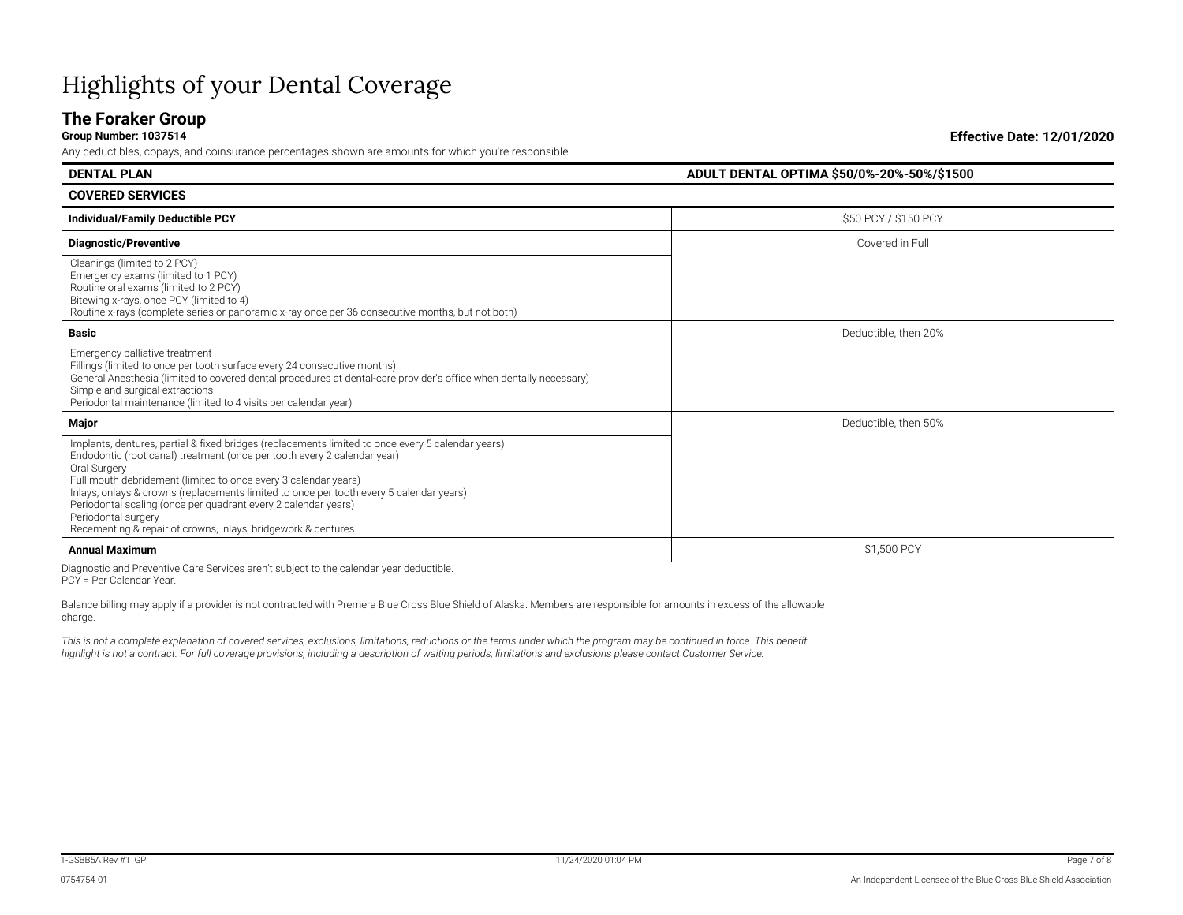## Highlights of your Dental Coverage

### **The Foraker Group**<br>Group Number: 1037514

Any deductibles, copays, and coinsurance percentages shown are amounts for which you're responsible.

**DENTAL PLAN ADULT DENTAL OPTIMA \$50/0%-20%-50%/\$1500 COVERED SERVICES Individual/Family Deductible PCY** \$50 PCY / \$150 PCY **Diagnostic/Preventive** Covered in Full **Diagnostic/Preventive** Covered in Full **Covered in Full** Cleanings (limited to 2 PCY) Emergency exams (limited to 1 PCY) Routine oral exams (limited to 2 PCY) Bitewing x-rays, once PCY (limited to 4) Routine x-rays (complete series or panoramic x-ray once per 36 consecutive months, but not both) **Basic** Deductible, then 20% Emergency palliative treatment Fillings (limited to once per tooth surface every 24 consecutive months) General Anesthesia (limited to covered dental procedures at dental-care provider's office when dentally necessary) Simple and surgical extractions Periodontal maintenance (limited to 4 visits per calendar year) **Major** Deductible, then 50% Implants, dentures, partial & fixed bridges (replacements limited to once every 5 calendar years) Endodontic (root canal) treatment (once per tooth every 2 calendar year) Oral Surgery Full mouth debridement (limited to once every 3 calendar years) Inlays, onlays & crowns (replacements limited to once per tooth every 5 calendar years) Periodontal scaling (once per quadrant every 2 calendar years) Periodontal surgery Recementing & repair of crowns, inlays, bridgework & dentures **Annual Maximum** \$1,500 PCY

Diagnostic and Preventive Care Services aren't subject to the calendar year deductible. PCY = Per Calendar Year.

Balance billing may apply if a provider is not contracted with Premera Blue Cross Blue Shield of Alaska. Members are responsible for amounts in excess of the allowable charge.

This is not a complete explanation of covered services, exclusions, limitations, reductions or the terms under which the program may be continued in force. This benefit *highlight is not a contract. For full coverage provisions, including a description of waiting periods, limitations and exclusions please contact Customer Service.*